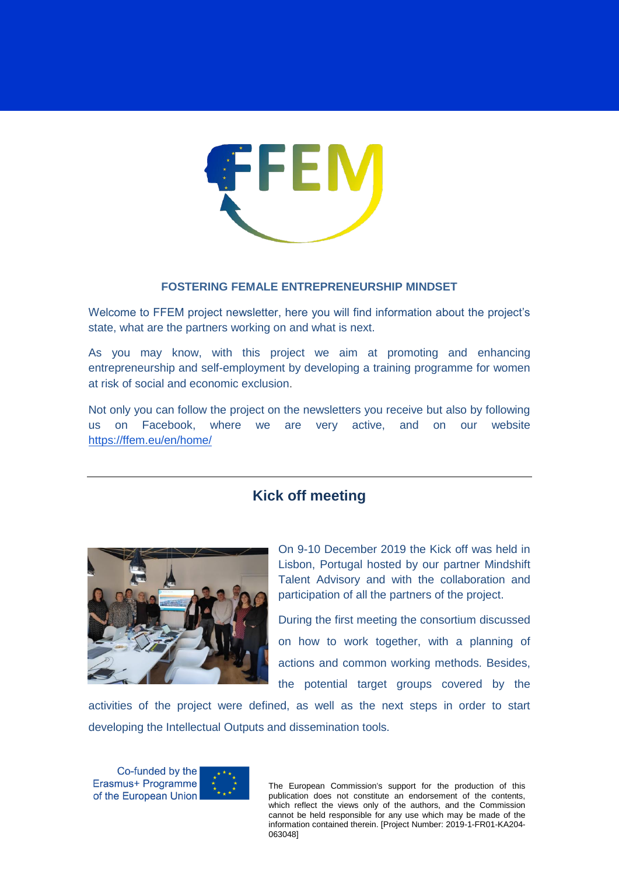

# **FOSTERING FEMALE ENTREPRENEURSHIP MINDSET**

Welcome to FFEM project newsletter, here you will find information about the project's state, what are the partners working on and what is next.

As you may know, with this project we aim at promoting and enhancing entrepreneurship and self-employment by developing a training programme for women at risk of social and economic exclusion.

Not only you can follow the project on the newsletters you receive but also by following us on Facebook, where we are very active, and on our website <https://ffem.eu/en/home/>

# **Kick off meeting**



On 9-10 December 2019 the Kick off was held in Lisbon, Portugal hosted by our partner Mindshift Talent Advisory and with the collaboration and participation of all the partners of the project.

During the first meeting the consortium discussed on how to work together, with a planning of actions and common working methods. Besides, the potential target groups covered by the

activities of the project were defined, as well as the next steps in order to start developing the Intellectual Outputs and dissemination tools.



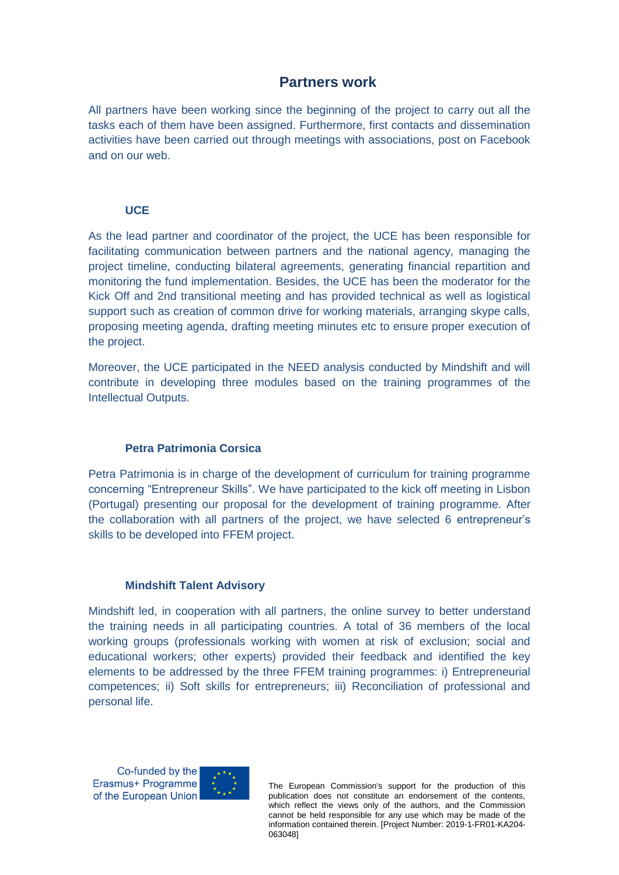# **Partners work**

All partners have been working since the beginning of the project to carry out all the tasks each of them have been assigned. Furthermore, first contacts and dissemination activities have been carried out through meetings with associations, post on Facebook and on our web.

# **UCE**

As the lead partner and coordinator of the project, the UCE has been responsible for facilitating communication between partners and the national agency, managing the project timeline, conducting bilateral agreements, generating financial repartition and monitoring the fund implementation. Besides, the UCE has been the moderator for the Kick Off and 2nd transitional meeting and has provided technical as well as logistical support such as creation of common drive for working materials, arranging skype calls, proposing meeting agenda, drafting meeting minutes etc to ensure proper execution of the project.

Moreover, the UCE participated in the NEED analysis conducted by Mindshift and will contribute in developing three modules based on the training programmes of the Intellectual Outputs.

# **Petra Patrimonia Corsica**

Petra Patrimonia is in charge of the development of curriculum for training programme concerning "Entrepreneur Skills". We have participated to the kick off meeting in Lisbon (Portugal) presenting our proposal for the development of training programme. After the collaboration with all partners of the project, we have selected 6 entrepreneur's skills to be developed into FFEM project.

# **Mindshift Talent Advisory**

Mindshift led, in cooperation with all partners, the online survey to better understand the training needs in all participating countries. A total of 36 members of the local working groups (professionals working with women at risk of exclusion; social and educational workers; other experts) provided their feedback and identified the key elements to be addressed by the three FFEM training programmes: i) Entrepreneurial competences; ii) Soft skills for entrepreneurs; iii) Reconciliation of professional and personal life.



The European Commission's support for the production of this publication does not constitute an endorsement of the contents, which reflect the views only of the authors, and the Commission cannot be held responsible for any use which may be made of the information contained therein. [Project Number: 2019-1-FR01-KA204- 063048]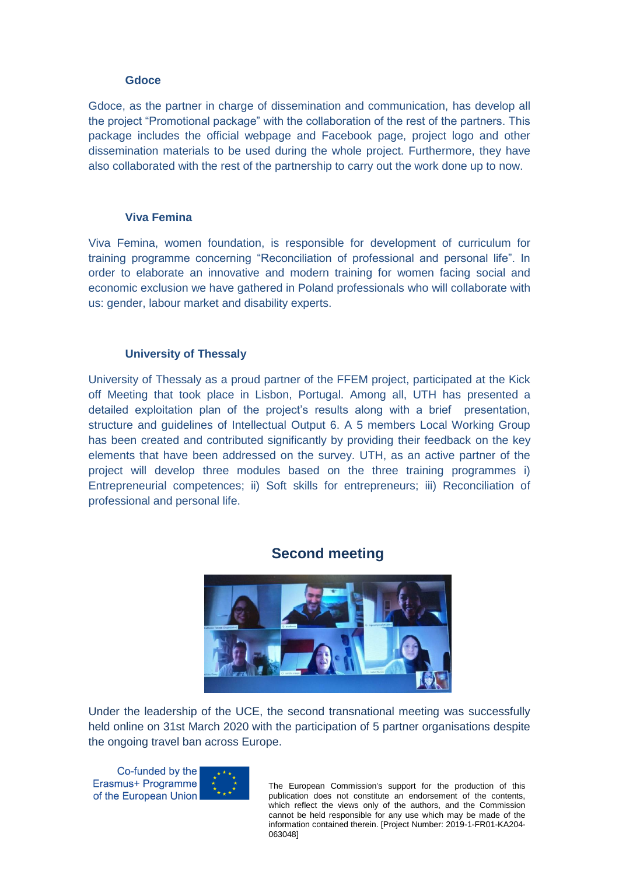#### **Gdoce**

Gdoce, as the partner in charge of dissemination and communication, has develop all the project "Promotional package" with the collaboration of the rest of the partners. This package includes the official webpage and Facebook page, project logo and other dissemination materials to be used during the whole project. Furthermore, they have also collaborated with the rest of the partnership to carry out the work done up to now.

# **Viva Femina**

Viva Femina, women foundation, is responsible for development of curriculum for training programme concerning "Reconciliation of professional and personal life". In order to elaborate an innovative and modern training for women facing social and economic exclusion we have gathered in Poland professionals who will collaborate with us: gender, labour market and disability experts.

# **University of Thessaly**

University of Thessaly as a proud partner of the FFEM project, participated at the Kick off Meeting that took place in Lisbon, Portugal. Among all, UTH has presented a detailed exploitation plan of the project's results along with a brief presentation, structure and guidelines of Intellectual Output 6. A 5 members Local Working Group has been created and contributed significantly by providing their feedback on the key elements that have been addressed on the survey. UTH, as an active partner of the project will develop three modules based on the three training programmes i) Entrepreneurial competences; ii) Soft skills for entrepreneurs; iii) Reconciliation of professional and personal life.



# **Second meeting**

Under the leadership of the UCE, the second transnational meeting was successfully held online on 31st March 2020 with the participation of 5 partner organisations despite the ongoing travel ban across Europe.

Co-funded by the Erasmus+ Programme of the European Union



The European Commission's support for the production of this publication does not constitute an endorsement of the contents, which reflect the views only of the authors, and the Commission cannot be held responsible for any use which may be made of the information contained therein. [Project Number: 2019-1-FR01-KA204- 063048]